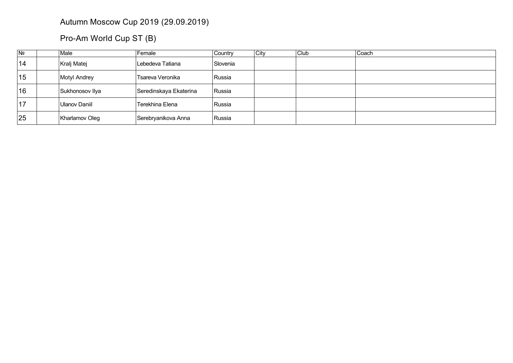## Autumn Moscow Cup 2019 (29.09.2019)

## Pro-Am World Cup ST (B)

| N <sub>2</sub> | Male            | Female                 | Country  | City | Club | Coach |
|----------------|-----------------|------------------------|----------|------|------|-------|
| 14             | Kralj Matej     | Lebedeva Tatiana       | Slovenia |      |      |       |
| 15             | Motyl Andrey    | Tsareva Veronika       | Russia   |      |      |       |
| 16             | Sukhonosov Ilya | Seredinskaya Ekaterina | Russia   |      |      |       |
| 17             | Ulanov Daniil   | Terekhina Elena        | Russia   |      |      |       |
| 25             | Kharlamov Oleg  | Serebryanikova Anna    | Russia   |      |      |       |